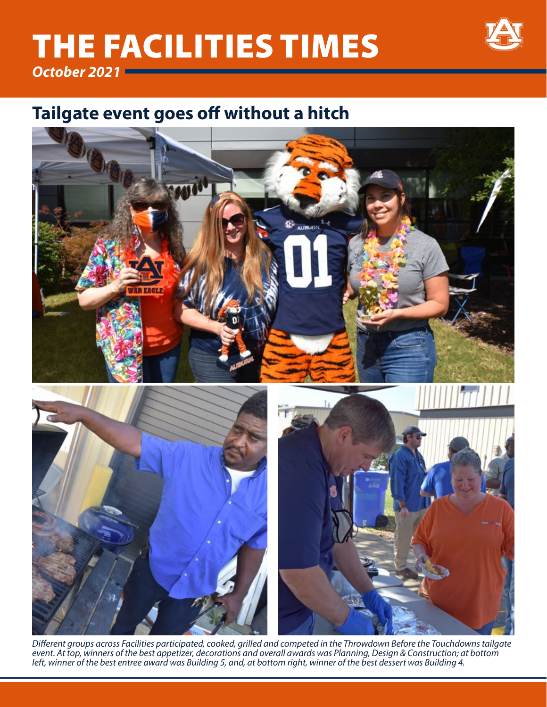# THE FACILITIES TIMES



*October 2021*

## **Tailgate event goes off without a hitch**



*Different groups across Facilities participated, cooked, grilled and competed in the Throwdown Before the Touchdowns tailgate event. At top, winners of the best appetizer, decorations and overall awards was Planning, Design & Construction; at bottom left, winner of the best entree award was Building 5, and, at bottom right, winner of the best dessert was Building 4.*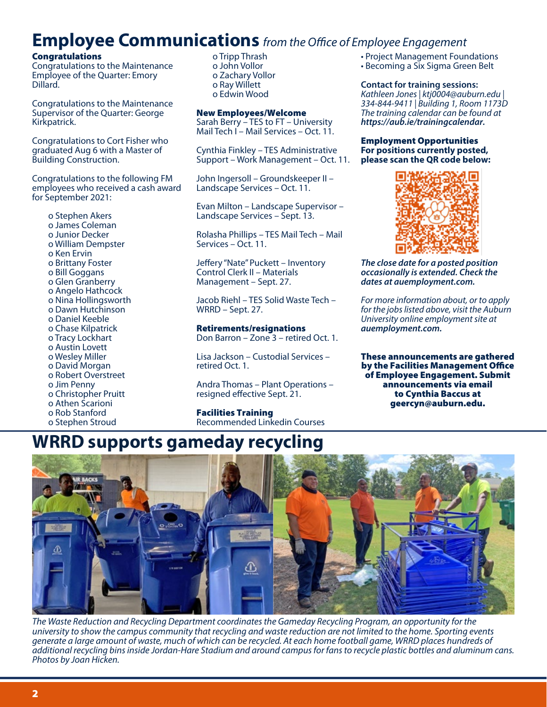### **Employee Communications** *from the Office of Employee Engagement*

#### **Congratulations**

Congratulations to the Maintenance Employee of the Quarter: Emory Dillard.

Congratulations to the Maintenance Supervisor of the Quarter: George Kirkpatrick.

Congratulations to Cort Fisher who graduated Aug 6 with a Master of Building Construction.

Congratulations to the following FM employees who received a cash award for September 2021:

- o Stephen Akers
- o James Coleman
- o Junior Decker
- o William Dempster
- o Ken Ervin
- o Brittany Foster
- o Bill Goggans
- o Glen Granberry
- o Angelo Hathcock
- o Nina Hollingsworth
- o Dawn Hutchinson
- o Daniel Keeble
- o Chase Kilpatrick
- o Tracy Lockhart
- o Austin Lovett
- o Wesley Miller
- o David Morgan
- o Robert Overstreet
- o Jim Penny
- o Christopher Pruitt
- o Athen Scarioni
- o Rob Stanford
- o Stephen Stroud

o Tripp Thrash o John Vollor o Zachary Vollor o Ray Willett o Edwin Wood

#### New Employees/Welcome

Sarah Berry – TES to FT – University Mail Tech I – Mail Services – Oct. 11.

Cynthia Finkley – TES Administrative Support – Work Management – Oct. 11.

John Ingersoll – Groundskeeper II – Landscape Services – Oct. 11.

Evan Milton – Landscape Supervisor – Landscape Services – Sept. 13.

Rolasha Phillips – TES Mail Tech – Mail Services – Oct. 11.

Jeffery "Nate" Puckett – Inventory Control Clerk II – Materials Management – Sept. 27.

Jacob Riehl – TES Solid Waste Tech – WRRD – Sept. 27.

### Retirements/resignations

Don Barron – Zone 3 – retired Oct. 1.

Lisa Jackson – Custodial Services – retired Oct. 1.

Andra Thomas – Plant Operations – resigned effective Sept. 21.

Facilities Training Recommended Linkedin Courses

- Project Management Foundations
- Becoming a Six Sigma Green Belt

#### **Contact for training sessions:**

*Kathleen Jones | ktj0004@auburn.edu | 334-844-9411 | Building 1, Room 1173D The training calendar can be found at https://aub.ie/trainingcalendar.*

Employment Opportunities **For positions currently posted, please scan the QR code below:** 



*The close date for a posted position occasionally is extended. Check the dates at auemployment.com.* 

*For more information about, or to apply for the jobs listed above, visit the Auburn University online employment site at auemployment.com.*

These announcements are gathered by the Facilities Management Office of Employee Engagement. Submit announcements via email to Cynthia Baccus at geercyn@auburn.edu.

### **WRRD supports gameday recycling**



*The Waste Reduction and Recycling Department coordinates the Gameday Recycling Program, an opportunity for the university to show the campus community that recycling and waste reduction are not limited to the home. Sporting events generate a large amount of waste, much of which can be recycled. At each home football game, WRRD places hundreds of additional recycling bins inside Jordan-Hare Stadium and around campus for fans to recycle plastic bottles and aluminum cans. Photos by Joan Hicken.*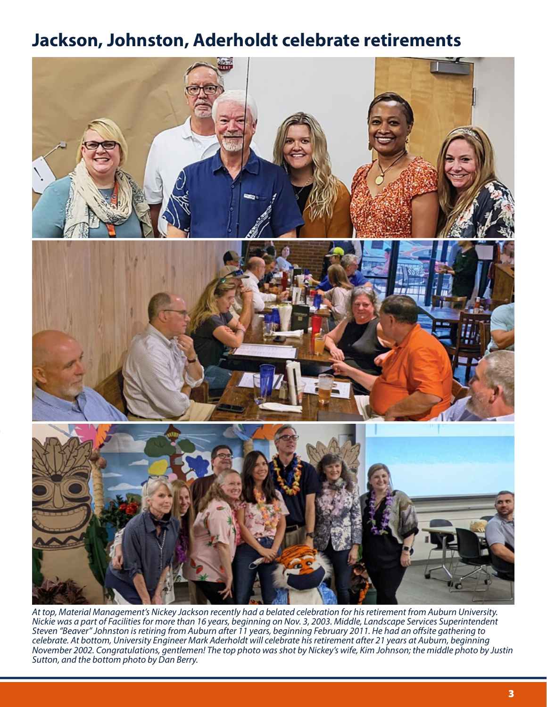### **Jackson, Johnston, Aderholdt celebrate retirements**



*At top, Material Management's Nickey Jackson recently had a belated celebration for his retirement from Auburn University. Nickie was a part of Facilities for more than 16 years, beginning on Nov. 3, 2003. Middle, Landscape Services Superintendent Steven "Beaver" Johnston is retiring from Auburn after 11 years, beginning February 2011. He had an offsite gathering to celebrate. At bottom, University Engineer Mark Aderholdt will celebrate his retirement after 21 years at Auburn, beginning November 2002. Congratulations, gentlemen! The top photo was shot by Nickey's wife, Kim Johnson; the middle photo by Justin Sutton, and the bottom photo by Dan Berry.*